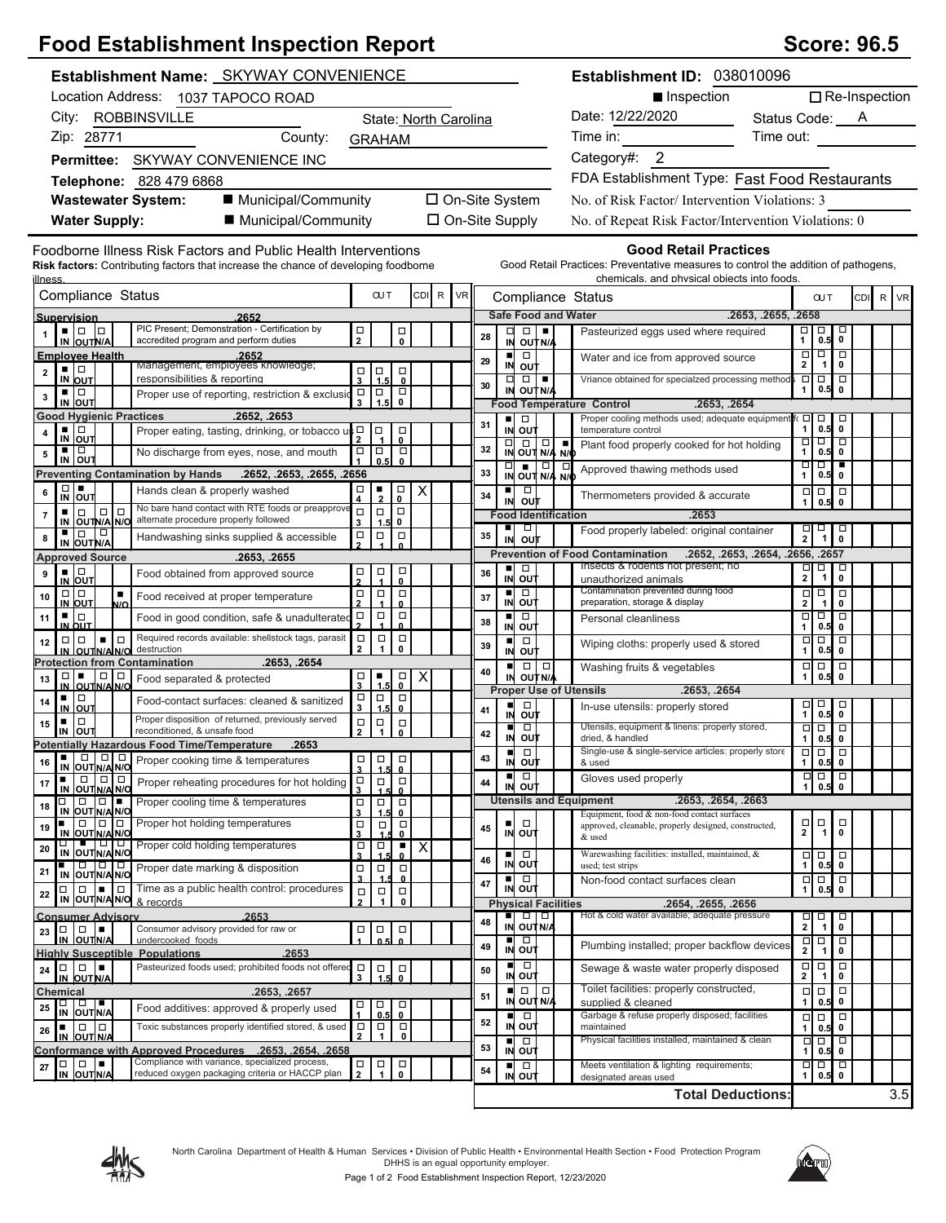## **Food Establishment Inspection Report Score: 96.5** Score: 96.5

|                      |                                                                                                                                                                                                                                                                                                                                                                                                                                                                                                |                | <b>Establishment Name: SKYWAY CONVENIENCE</b>                                                                                                                |                                               |                                                                                                                                                                                                                                                                                                                                                                                   |                                        |                |                       |    |                |                                                                                                     |                | Establishment ID: 038010096                                                                                                                                       |                |                          |                                            |                                                  |                      |  |
|----------------------|------------------------------------------------------------------------------------------------------------------------------------------------------------------------------------------------------------------------------------------------------------------------------------------------------------------------------------------------------------------------------------------------------------------------------------------------------------------------------------------------|----------------|--------------------------------------------------------------------------------------------------------------------------------------------------------------|-----------------------------------------------|-----------------------------------------------------------------------------------------------------------------------------------------------------------------------------------------------------------------------------------------------------------------------------------------------------------------------------------------------------------------------------------|----------------------------------------|----------------|-----------------------|----|----------------|-----------------------------------------------------------------------------------------------------|----------------|-------------------------------------------------------------------------------------------------------------------------------------------------------------------|----------------|--------------------------|--------------------------------------------|--------------------------------------------------|----------------------|--|
|                      |                                                                                                                                                                                                                                                                                                                                                                                                                                                                                                |                | Location Address: 1037 TAPOCO ROAD                                                                                                                           |                                               |                                                                                                                                                                                                                                                                                                                                                                                   |                                        |                |                       |    |                |                                                                                                     |                | Inspection                                                                                                                                                        |                |                          |                                            |                                                  | $\Box$ Re-Inspection |  |
|                      |                                                                                                                                                                                                                                                                                                                                                                                                                                                                                                |                | City: ROBBINSVILLE                                                                                                                                           |                                               |                                                                                                                                                                                                                                                                                                                                                                                   |                                        |                | State: North Carolina |    |                |                                                                                                     |                | Date: 12/22/2020                                                                                                                                                  | Status Code: A |                          |                                            |                                                  |                      |  |
|                      | Zip: 28771                                                                                                                                                                                                                                                                                                                                                                                                                                                                                     |                | County:                                                                                                                                                      |                                               |                                                                                                                                                                                                                                                                                                                                                                                   | <b>GRAHAM</b>                          |                |                       |    |                |                                                                                                     |                | Time in:                                                                                                                                                          | Time out:      |                          |                                            |                                                  |                      |  |
|                      |                                                                                                                                                                                                                                                                                                                                                                                                                                                                                                |                | Permittee: SKYWAY CONVENIENCE INC                                                                                                                            |                                               |                                                                                                                                                                                                                                                                                                                                                                                   |                                        |                |                       |    |                |                                                                                                     |                | Category#: 2                                                                                                                                                      |                |                          |                                            |                                                  |                      |  |
|                      |                                                                                                                                                                                                                                                                                                                                                                                                                                                                                                |                | Telephone: 828 479 6868                                                                                                                                      |                                               |                                                                                                                                                                                                                                                                                                                                                                                   |                                        |                |                       |    |                |                                                                                                     |                | FDA Establishment Type: Fast Food Restaurants                                                                                                                     |                |                          |                                            |                                                  |                      |  |
|                      |                                                                                                                                                                                                                                                                                                                                                                                                                                                                                                |                | ■ Municipal/Community<br><b>Wastewater System:</b>                                                                                                           |                                               |                                                                                                                                                                                                                                                                                                                                                                                   |                                        |                | □ On-Site System      |    |                |                                                                                                     |                | No. of Risk Factor/Intervention Violations: 3                                                                                                                     |                |                          |                                            |                                                  |                      |  |
|                      | <b>Water Supply:</b>                                                                                                                                                                                                                                                                                                                                                                                                                                                                           |                | ■ Municipal/Community                                                                                                                                        |                                               |                                                                                                                                                                                                                                                                                                                                                                                   |                                        |                | $\Box$ On-Site Supply |    |                |                                                                                                     |                | No. of Repeat Risk Factor/Intervention Violations: 0                                                                                                              |                |                          |                                            |                                                  |                      |  |
|                      |                                                                                                                                                                                                                                                                                                                                                                                                                                                                                                |                |                                                                                                                                                              |                                               |                                                                                                                                                                                                                                                                                                                                                                                   |                                        |                |                       |    |                |                                                                                                     |                |                                                                                                                                                                   |                |                          |                                            |                                                  |                      |  |
| <u>illness</u>       |                                                                                                                                                                                                                                                                                                                                                                                                                                                                                                |                | Foodborne Illness Risk Factors and Public Health Interventions<br><b>Risk factors:</b> Contributing factors that increase the chance of developing foodborne |                                               |                                                                                                                                                                                                                                                                                                                                                                                   |                                        |                |                       |    |                |                                                                                                     |                | <b>Good Retail Practices</b><br>Good Retail Practices: Preventative measures to control the addition of pathogens,<br>chemicals, and physical objects into foods. |                |                          |                                            |                                                  |                      |  |
|                      | Compliance Status                                                                                                                                                                                                                                                                                                                                                                                                                                                                              |                |                                                                                                                                                              |                                               | <b>OUT</b>                                                                                                                                                                                                                                                                                                                                                                        |                                        | CDI R          | <b>VR</b>             |    |                |                                                                                                     |                | Compliance Status                                                                                                                                                 |                |                          | <b>CUT</b>                                 |                                                  | CDI R VR             |  |
|                      | Supervision                                                                                                                                                                                                                                                                                                                                                                                                                                                                                    |                | 2652                                                                                                                                                         |                                               |                                                                                                                                                                                                                                                                                                                                                                                   |                                        |                |                       |    |                | <b>Safe Food and Water</b>                                                                          |                | .2653, .2655, .2658                                                                                                                                               |                |                          |                                            |                                                  |                      |  |
|                      | • 10 10<br>IN OUTN/A                                                                                                                                                                                                                                                                                                                                                                                                                                                                           |                | PIC Present; Demonstration - Certification by<br>accredited program and perform duties                                                                       | $\mathop\square\limits_2$                     |                                                                                                                                                                                                                                                                                                                                                                                   | 口<br>0                                 |                |                       | 28 | □              | $\Box$<br>IN OUT N/A                                                                                |                | Pasteurized eggs used where required                                                                                                                              |                | 미ㅁ<br>1                  | 0.5                                        | $\Box$<br>0                                      |                      |  |
|                      | <b>Employee Health</b>                                                                                                                                                                                                                                                                                                                                                                                                                                                                         |                | .2652                                                                                                                                                        |                                               |                                                                                                                                                                                                                                                                                                                                                                                   |                                        |                |                       | 29 | $\blacksquare$ | $\Box$                                                                                              |                | Water and ice from approved source                                                                                                                                |                | $\Box$                   | $\Box$                                     | $\overline{\Box}$                                |                      |  |
| $\mathbf 2$          | ▪ ▏□<br>IN OUT                                                                                                                                                                                                                                                                                                                                                                                                                                                                                 |                | Management, employees knowledge;<br>responsibilities & reportina                                                                                             | 3                                             | $\Box$ $\Box$<br>1.5                                                                                                                                                                                                                                                                                                                                                              | $\Box$<br>$\mathbf 0$                  |                |                       |    | $\Box$         | IN OUT<br>$\Box$                                                                                    |                | Vriance obtained for specialzed processing method                                                                                                                 |                | $\mathbf{2}$<br>$\Box$   | $\overline{1}$<br>$\Box$                   | $\mathbf 0$<br>$\Box$                            |                      |  |
| 3                    | ∎∣⊡<br>IN OUT                                                                                                                                                                                                                                                                                                                                                                                                                                                                                  |                | Proper use of reporting, restriction & exclusio                                                                                                              | $\Box$<br>$\mathbf{3}$                        | $\overline{a}$<br>1.5                                                                                                                                                                                                                                                                                                                                                             | $\Box$<br>0                            |                |                       | 30 | IN             | OUT N/A                                                                                             |                |                                                                                                                                                                   |                | 1                        | 0.5                                        | $\mathbf 0$                                      |                      |  |
|                      | <b>Good Hygienic Practices</b>                                                                                                                                                                                                                                                                                                                                                                                                                                                                 |                | .2652, .2653                                                                                                                                                 |                                               |                                                                                                                                                                                                                                                                                                                                                                                   |                                        |                |                       |    | ٠              | $\Box$                                                                                              |                | .2653, .2654<br><b>Food Temperature Control</b><br>Proper cooling methods used; adequate equipment fo                                                             |                | $\Box$                   |                                            | Д                                                |                      |  |
| 4                    | ▪ ▏□<br>IN OUT                                                                                                                                                                                                                                                                                                                                                                                                                                                                                 |                | Proper eating, tasting, drinking, or tobacco us D                                                                                                            |                                               | Ο                                                                                                                                                                                                                                                                                                                                                                                 | о<br>0                                 |                |                       | 31 |                | IN OUT                                                                                              |                | temperature control                                                                                                                                               |                | $\mathbf{1}$<br>Ξ        | $\overline{0.5}$<br>$\Box$                 | $\mathbf 0$<br>□                                 |                      |  |
| 5                    | ▪ ▏□<br>IN OUT                                                                                                                                                                                                                                                                                                                                                                                                                                                                                 |                | No discharge from eyes, nose, and mouth                                                                                                                      | $\Box$                                        | $\Box$<br>0.5                                                                                                                                                                                                                                                                                                                                                                     | $\Box$<br>$\mathbf 0$                  |                |                       | 32 | $\Box$         | $\Box$ $\Box$<br>IN OUT N/A N/O                                                                     | $\blacksquare$ | Plant food properly cooked for hot holding                                                                                                                        |                | $\mathbf{1}$             | 0.5                                        | $\mathbf 0$                                      |                      |  |
|                      |                                                                                                                                                                                                                                                                                                                                                                                                                                                                                                |                | 2655, 2655, 2655, 2652, Preventing Contamination by Hands .2652, 2653, 2655,                                                                                 |                                               |                                                                                                                                                                                                                                                                                                                                                                                   |                                        |                |                       | 33 |                | $\begin{array}{c c c c c} \hline \textbf{C} & \textbf{C} & \textbf{C} \end{array}$<br>IN OUT N/A N/ | $\Box$         | Approved thawing methods used                                                                                                                                     |                | णण<br>$\mathbf{1}$       | 0.5                                        | $\mathbf 0$                                      |                      |  |
| 6                    | $\Box$<br>IN OUT                                                                                                                                                                                                                                                                                                                                                                                                                                                                               |                | Hands clean & properly washed                                                                                                                                | $\Box$<br>4                                   | $\frac{1}{2}$                                                                                                                                                                                                                                                                                                                                                                     | $_{0}^{\square}$                       | х              |                       | 34 | ٠<br>IN        | $\Box$<br>out                                                                                       |                | Thermometers provided & accurate                                                                                                                                  |                | $\Box$                   | $\overline{0.5}$                           | $\Box$<br>$\mathbf 0$                            |                      |  |
| ■<br>7               | $\Box$<br>$\Box$<br>IN OUTN/A N/O                                                                                                                                                                                                                                                                                                                                                                                                                                                              | ∣□             | No bare hand contact with RTE foods or preapprove<br>alternate procedure properly followed                                                                   | $\Box$                                        | $\Box$                                                                                                                                                                                                                                                                                                                                                                            | $\Box$<br>0                            |                |                       |    |                | <b>Food Identification</b>                                                                          |                | .2653                                                                                                                                                             |                |                          |                                            |                                                  |                      |  |
| 8                    | ▪│□<br>∣□                                                                                                                                                                                                                                                                                                                                                                                                                                                                                      |                | Handwashing sinks supplied & accessible                                                                                                                      | 3<br>$\Box$                                   | 1.5<br>$\Box$                                                                                                                                                                                                                                                                                                                                                                     | $\Box$                                 |                |                       | 35 | ٠<br>IN        | $\Box$<br>out                                                                                       |                | Food properly labeled: original container                                                                                                                         |                | 밁                        | 뭐                                          |                                                  |                      |  |
|                      | IN OUT N/A<br><b>Approved Source</b>                                                                                                                                                                                                                                                                                                                                                                                                                                                           |                | .2653, .2655                                                                                                                                                 |                                               |                                                                                                                                                                                                                                                                                                                                                                                   |                                        |                |                       |    |                |                                                                                                     |                | <b>Prevention of Food Contamination</b><br>.2652, .2653, .2654, .2656, .2657                                                                                      |                |                          |                                            |                                                  |                      |  |
| 9                    | ∎∣⊡<br>IN OUT                                                                                                                                                                                                                                                                                                                                                                                                                                                                                  |                | Food obtained from approved source                                                                                                                           | 口<br>2                                        | $\frac{\Box}{4}$                                                                                                                                                                                                                                                                                                                                                                  | □<br>$\mathbf{0}$                      |                |                       | 36 | ш<br>IN        | $\Box$<br>out                                                                                       |                | Insects & rodents not present; no<br>unauthorized animals                                                                                                         |                | $\Box$<br>2 <sup>1</sup> | $\Box$<br>$\overline{1}$                   | $\Box$<br>0                                      |                      |  |
| 10                   | $\Box   \Box$                                                                                                                                                                                                                                                                                                                                                                                                                                                                                  | $\blacksquare$ | Food received at proper temperature                                                                                                                          | $\mathop\square\limits_2$                     | $\Box$                                                                                                                                                                                                                                                                                                                                                                            | $\Box$                                 |                |                       | 37 |                | $\Box$<br>IN OUT                                                                                    |                | Contamination prevented during food                                                                                                                               |                | $\Box$<br>2 <sup>1</sup> | $\Box$                                     | $\Box$                                           |                      |  |
| 11                   | IN OUT<br>∎∣⊡                                                                                                                                                                                                                                                                                                                                                                                                                                                                                  | N/O            | Food in good condition, safe & unadulterated                                                                                                                 | $\Box$                                        | $\blacktriangle$<br>$\Box$                                                                                                                                                                                                                                                                                                                                                        | $\mathbf{0}$<br>$\Box$                 |                |                       | 38 |                | $\Box$                                                                                              |                | preparation, storage & display<br>Personal cleanliness                                                                                                            |                | □                        | $\mathbf{1}$<br>$\Box$                     | 0<br>Ō                                           |                      |  |
|                      | IN OUT<br>$\Box   \Box$<br>$\blacksquare$                                                                                                                                                                                                                                                                                                                                                                                                                                                      | $\Box$         | Required records available: shellstock tags, parasit                                                                                                         | $\Box$                                        | $\Box$                                                                                                                                                                                                                                                                                                                                                                            | 0<br>$\Box$                            |                |                       |    | IN<br>п        | out<br>$\Box$                                                                                       |                |                                                                                                                                                                   |                | 1<br>$\Box$              | 0.5<br>$\overline{\square}$                | 0<br>$\overline{\Box}$                           |                      |  |
| 12                   | IN OUTNA NO                                                                                                                                                                                                                                                                                                                                                                                                                                                                                    |                | destruction<br>.2653. .2654                                                                                                                                  | $\mathbf{2}$                                  | $\mathbf{1}$                                                                                                                                                                                                                                                                                                                                                                      | $\mathbf 0$                            |                |                       | 39 | IN             | out                                                                                                 |                | Wiping cloths: properly used & stored                                                                                                                             |                | 1                        | 0.5                                        | 0                                                |                      |  |
| 13                   | $\Box$                                                                                                                                                                                                                                                                                                                                                                                                                                                                                         | 0   0          | <b>Protection from Contamination</b><br>Food separated & protected                                                                                           | α                                             | п                                                                                                                                                                                                                                                                                                                                                                                 | 口<br>0                                 | X              |                       | 40 |                | $\Box   \Box  $<br>IN OUT N/A                                                                       |                | Washing fruits & vegetables                                                                                                                                       |                | $\Box$<br>1              | $\overline{0.5}$                           | $\Box$<br>$\mathbf 0$                            |                      |  |
|                      | IN OUTNAING<br>▪ │□                                                                                                                                                                                                                                                                                                                                                                                                                                                                            |                |                                                                                                                                                              | $\mathbf{3}$                                  | 15<br>$\Box$                                                                                                                                                                                                                                                                                                                                                                      | $\Box$                                 |                |                       |    |                |                                                                                                     |                | <b>Proper Use of Utensils</b><br>.2653, .2654                                                                                                                     |                |                          |                                            |                                                  |                      |  |
| 14                   | IN OUT                                                                                                                                                                                                                                                                                                                                                                                                                                                                                         |                | Food-contact surfaces: cleaned & sanitized<br>Proper disposition of returned, previously served                                                              | $\begin{array}{c}\n\Box \\ \Box\n\end{array}$ | 1.5                                                                                                                                                                                                                                                                                                                                                                               | $\mathbf{0}$                           |                |                       | 41 | ш<br>IN        | $\Box$<br>out                                                                                       |                | In-use utensils: properly stored                                                                                                                                  |                | <u>미</u>                 | $\overline{0.5}$                           | $\Box$<br>$\pmb{0}$                              |                      |  |
| ٠<br>15              | $\Box$<br>IN OUT                                                                                                                                                                                                                                                                                                                                                                                                                                                                               |                | reconditioned, & unsafe food                                                                                                                                 | $\Box$<br>$\overline{2}$                      | $\vert \frac{1}{1} \vert$                                                                                                                                                                                                                                                                                                                                                         | $\Box$<br>0                            |                |                       | 42 | IN             | $\Box$<br>ουτ                                                                                       |                | Utensils, equipment & linens: properly stored,<br>dried, & handled                                                                                                |                | $\Box$<br>1              | $\overline{\Box}$<br>0.5                   | $\overline{\Box}$<br>0                           |                      |  |
|                      | $  \bullet   \circ   \circ   \circ  $                                                                                                                                                                                                                                                                                                                                                                                                                                                          |                | <b>Potentially Hazardous Food Time/Temperature</b><br>.2653                                                                                                  |                                               | $\begin{array}{c c c c c c} \hline \rule{0pt}{2.5ex} & \rule{0pt}{2.5ex} & \rule{0pt}{2.5ex} & \rule{0pt}{2.5ex} & \rule{0pt}{2.5ex} & \rule{0pt}{2.5ex} & \rule{0pt}{2.5ex} & \rule{0pt}{2.5ex} & \rule{0pt}{2.5ex} & \rule{0pt}{2.5ex} & \rule{0pt}{2.5ex} & \rule{0pt}{2.5ex} & \rule{0pt}{2.5ex} & \rule{0pt}{2.5ex} & \rule{0pt}{2.5ex} & \rule{0pt}{2.5ex} & \rule{0pt}{2.$ |                                        |                |                       | 43 | ш              | $\Box$                                                                                              |                | Single-use & single-service articles: properly store                                                                                                              |                | ० ०                      |                                            | $\overline{\Box}$                                |                      |  |
| 16<br>$\blacksquare$ | IN OUT N/A N/O<br>$\Box$                                                                                                                                                                                                                                                                                                                                                                                                                                                                       | $\Box$         | Proper cooking time & temperatures                                                                                                                           | $\overline{\mathbf{3}}$                       | 1.5                                                                                                                                                                                                                                                                                                                                                                               | $\mathbf{0}$                           |                |                       |    | п              | IN OUT<br>$\Box$                                                                                    |                | & used<br>Gloves used properly                                                                                                                                    |                | 1 <sup>1</sup><br>$\Box$ | $0.5$ 0<br>$\boxed{\blacksquare}$          | $\Box$                                           |                      |  |
| 17                   | IN OUT N/A N/O                                                                                                                                                                                                                                                                                                                                                                                                                                                                                 |                | Proper reheating procedures for hot holding                                                                                                                  | $\begin{array}{c}\n\Box \\ 3\n\end{array}$    | $\Box$                                                                                                                                                                                                                                                                                                                                                                            | $\Box$<br>0                            |                |                       | 44 |                | IN OUT                                                                                              |                |                                                                                                                                                                   |                | 1                        | 0.5                                        | $\mathbf 0$                                      |                      |  |
| □<br>18              | $\Box$<br>$\Box$<br>IN OUT N/A N/O                                                                                                                                                                                                                                                                                                                                                                                                                                                             | $\blacksquare$ | Proper cooling time & temperatures                                                                                                                           | $\frac{\Box}{3}$                              | $\Box$<br>1.5                                                                                                                                                                                                                                                                                                                                                                     | α<br>0                                 |                |                       |    |                |                                                                                                     |                | <b>Utensils and Equipment</b><br>.2653, .2654, .2663<br>Equipment, food & non-food contact surfaces                                                               |                |                          |                                            |                                                  |                      |  |
| $\blacksquare$<br>19 | $\Box$<br>$\Box$<br>IN OUT N/A N/O                                                                                                                                                                                                                                                                                                                                                                                                                                                             | $\Box$         | Proper hot holding temperatures                                                                                                                              | $\Box$<br>$\overline{\mathbf{3}}$             | $\Box$                                                                                                                                                                                                                                                                                                                                                                            | $\Box$<br>$\mathbf 0$                  |                |                       | 45 |                | $\Box$<br>IN OUT                                                                                    |                | approved, cleanable, properly designed, constructed,<br>& used                                                                                                    |                | $\frac{\Box}{2}$         | $\begin{array}{c}\n\Box \\ 1\n\end{array}$ | $_{0}^{\square}$                                 |                      |  |
| 20                   |                                                                                                                                                                                                                                                                                                                                                                                                                                                                                                |                | IN OUT N/A N/Q<br>IN OUT N/A N/Q                                                                                                                             | α<br>3                                        | $\Box$                                                                                                                                                                                                                                                                                                                                                                            | ٠<br>0                                 | $\pmb{\times}$ |                       |    |                | ■□□                                                                                                 |                | Warewashing facilities: installed, maintained, &                                                                                                                  |                | □                        |                                            | $\Box$                                           |                      |  |
| 21                   | 0000<br>IN OUT N/A N/O                                                                                                                                                                                                                                                                                                                                                                                                                                                                         |                | Proper date marking & disposition                                                                                                                            | $\Box$                                        | $\Box$                                                                                                                                                                                                                                                                                                                                                                            | σ                                      |                |                       | 46 |                | IN OUT                                                                                              |                | used; test strips                                                                                                                                                 |                | $\mathbf{1}$             | 0.5                                        | $\mathbf 0$                                      |                      |  |
| $\Box$<br>22         | $\Box$                                                                                                                                                                                                                                                                                                                                                                                                                                                                                         |                | $\Box$ Time as a public health control: procedures                                                                                                           | 3<br>$\Box$                                   | $\Box$                                                                                                                                                                                                                                                                                                                                                                            | <u>0</u><br>$\Box$                     |                |                       | 47 | ш              | $\Box$<br>IN OUT                                                                                    |                | Non-food contact surfaces clean                                                                                                                                   |                | $\Box$<br>1              | $\frac{1}{0.5}$                            | $\Box$<br>$\pmb{0}$                              |                      |  |
|                      |                                                                                                                                                                                                                                                                                                                                                                                                                                                                                                |                | IN OUTIN/AN/O & records<br>2653                                                                                                                              | $\overline{2}$                                | $\mathbf{1}$                                                                                                                                                                                                                                                                                                                                                                      | 0                                      |                |                       |    |                | <b>Physical Facilities</b><br>$\Box   \Box  $                                                       |                | .2654, .2655, .2656<br>Hot & cold water available; adequate pressure                                                                                              |                |                          |                                            |                                                  |                      |  |
| $\Box$<br>23         | <b>Consumer Advisory</b><br>$\begin{array}{c c c c c} \hline \multicolumn{1}{ c }{\phantom{1}} & \multicolumn{1}{ c }{\phantom{1}} \\ \hline \multicolumn{1}{ c }{\phantom{1}} & \multicolumn{1}{ c }{\phantom{1}} \\ \hline \multicolumn{1}{ c }{\phantom{1}} & \multicolumn{1}{ c }{\phantom{1}} \\ \hline \multicolumn{1}{ c }{\phantom{1}} & \multicolumn{1}{ c }{\phantom{1}} \\ \hline \multicolumn{1}{ c }{\phantom{1}} & \multicolumn{1}{ c }{\phantom{1}} \\ \hline \multicolumn{1}{$ |                | Consumer advisory provided for raw or                                                                                                                        | $\Box$                                        | $\Box$                                                                                                                                                                                                                                                                                                                                                                            | $\Box$                                 |                |                       | 48 | IN             | OUT N/A                                                                                             |                |                                                                                                                                                                   |                | $\frac{\Box}{2}$         | 口<br>1                                     | $\overline{\phantom{0}}_{\phantom{0}}^{\square}$ |                      |  |
|                      | IN OUTN/A                                                                                                                                                                                                                                                                                                                                                                                                                                                                                      |                | undercooked foods<br><b>Highly Susceptible Populations</b><br>.2653                                                                                          |                                               |                                                                                                                                                                                                                                                                                                                                                                                   |                                        |                |                       | 49 | ▪              | Ō<br>IN OUT                                                                                         |                | Plumbing installed; proper backflow devices                                                                                                                       |                | $\frac{\Box}{2}$         | о<br>$\overline{1}$                        | $\Box$<br>0                                      |                      |  |
| $\Box$<br>24         | $\Box$<br>l m<br>IN OUT N/A                                                                                                                                                                                                                                                                                                                                                                                                                                                                    |                | Pasteurized foods used; prohibited foods not offered                                                                                                         | $\Box$<br>$\mathbf{3}$                        | Π                                                                                                                                                                                                                                                                                                                                                                                 | $\overline{\phantom{0}}_0$             |                |                       | 50 |                | $\Box$<br>IN OUT                                                                                    |                | Sewage & waste water properly disposed                                                                                                                            |                | $\Box$<br>$\mathbf{2}$   | $\Box$<br>$\mathbf{1}$                     | $\Box$<br>0                                      |                      |  |
| Chemical             |                                                                                                                                                                                                                                                                                                                                                                                                                                                                                                |                | .2653, .2657                                                                                                                                                 |                                               |                                                                                                                                                                                                                                                                                                                                                                                   |                                        |                |                       | 51 | IN             | $\Box$<br>OUT N/A                                                                                   |                | Toilet facilities: properly constructed,<br>supplied & cleaned                                                                                                    |                | $\Box$<br>$\mathbf{1}$   | $\Box$<br>0.5                              | $\Box$<br>0                                      |                      |  |
| 25                   | □ □ ■<br>IN OUTN/A                                                                                                                                                                                                                                                                                                                                                                                                                                                                             |                | Food additives: approved & properly used                                                                                                                     | $\frac{\Box}{1}$                              | $\begin{array}{c} \square \\ 0.5 \end{array}$                                                                                                                                                                                                                                                                                                                                     | $\overline{\phantom{0}}_{0}^{\square}$ |                |                       |    |                | D                                                                                                   |                | Garbage & refuse properly disposed; facilities                                                                                                                    |                |                          |                                            | $\Box$                                           |                      |  |



**26**

**IN OUT N/A** n o o

**□ │ □ │■**<br>IN │OUT∣N/A

<u>il</u>

**27**

**52 53 54**

**IN** n o **OUT IN** n o **OUT IN** n o **OUT**

maintained

designated areas used

Physical facilities installed, maintained & clean Meets ventilation & lighting requirements;

**Total Deductions:**

 $\overline{\phantom{0}}$ **2 1 0** o o

Toxic substances properly identified stored, & used

Compliance with variance, specialized process, reduced oxygen packaging criteria or HACCP plan

**Conformance with Approved Procedures .2653, .2654, .2658**

 $\frac{\Box}{2}$ **2 1 0** o o



**1** o **0.5** o o **0**

**1** o **0.5** o o **0**

**1** o **0.5** o o **0**

3.5